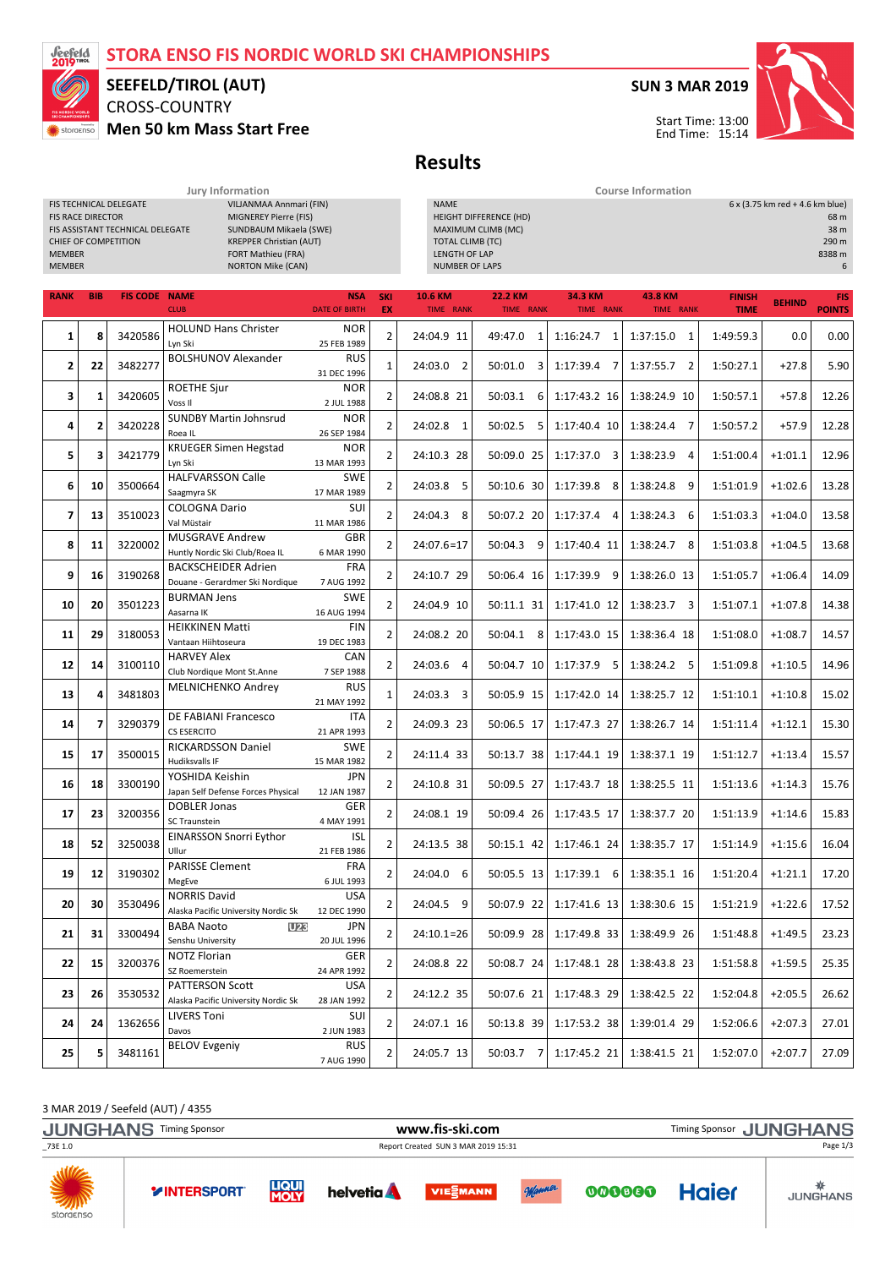# STORA ENSO FIS NORDIC WORLD SKI CHAMPIONSHIPS



### CROSS-COUNTRY SEEFELD/TIROL (AUT)

FIS TECHNICAL DELEGATE VILJANMAA Annmari (FIN)

Men 50 km Mass Start Free

### SUN 3 MAR 2019



 $6 x (3.75 km red + 4.6 km blue)$ 

Results

Jury Information Course Information

| <b>MIGNEREY Pierre (FIS)</b><br>FIS RACE DIRECTOR<br>SUNDBAUM Mikaela (SWE)<br>FIS ASSISTANT TECHNICAL DELEGATE<br><b>CHIEF OF COMPETITION</b><br><b>KREPPER Christian (AUT)</b><br><b>MEMBER</b><br>FORT Mathieu (FRA)<br><b>MEMBER</b><br><b>NORTON Mike (CAN)</b> |                |                      |                                                                                     |                                         |                  | <b>HEIGHT DIFFERENCE (HD)</b><br>MAXIMUM CLIMB (MC)<br><b>TOTAL CLIMB (TC)</b><br>LENGTH OF LAP<br><b>NUMBER OF LAPS</b> |                      |                             |                      |                              | 68 m<br>38 m<br>290 m<br>8388 m<br>6 |                             |
|----------------------------------------------------------------------------------------------------------------------------------------------------------------------------------------------------------------------------------------------------------------------|----------------|----------------------|-------------------------------------------------------------------------------------|-----------------------------------------|------------------|--------------------------------------------------------------------------------------------------------------------------|----------------------|-----------------------------|----------------------|------------------------------|--------------------------------------|-----------------------------|
| <b>RANK</b>                                                                                                                                                                                                                                                          | <b>BIB</b>     | <b>FIS CODE NAME</b> | <b>CLUB</b>                                                                         | <b>NSA</b><br><b>DATE OF BIRTH</b>      | <b>SKI</b><br>EX | <b>10.6 KM</b><br>TIME RANK                                                                                              | 22.2 KM<br>TIME RANK | 34.3 KM<br>TIME RANK        | 43.8 KM<br>TIME RANK | <b>FINISH</b><br><b>TIME</b> | <b>BEHIND</b>                        | <b>FIS</b><br><b>POINTS</b> |
| 1                                                                                                                                                                                                                                                                    | 8              | 3420586              | <b>HOLUND Hans Christer</b><br>Lyn Ski                                              | <b>NOR</b><br>25 FEB 1989               | $\overline{2}$   | 24:04.9 11                                                                                                               | 49:47.0 1            | 1:16:24.7<br>1              | 1:37:15.0 1          | 1:49:59.3                    | 0.0                                  | 0.00                        |
| 2                                                                                                                                                                                                                                                                    | 22             | 3482277              | <b>BOLSHUNOV Alexander</b>                                                          | <b>RUS</b><br>31 DEC 1996               | $\mathbf{1}$     | 24:03.0 2                                                                                                                | $50:01.0$ 3          | 1:17:39.4 7                 | $1:37:55.7$ 2        | 1:50:27.1                    | $+27.8$                              | 5.90                        |
| 3                                                                                                                                                                                                                                                                    | 1              | 3420605              | <b>ROETHE Sjur</b><br>Voss II                                                       | <b>NOR</b><br>2 JUL 1988                | $\overline{2}$   | 24:08.8 21                                                                                                               | 50:03.1<br>6         | 1:17:43.2 16                | 1:38:24.9 10         | 1:50:57.1                    | $+57.8$                              | 12.26                       |
| 4                                                                                                                                                                                                                                                                    | 2              | 3420228              | <b>SUNDBY Martin Johnsrud</b><br>Roea <sub>IL</sub>                                 | <b>NOR</b><br>26 SEP 1984               | $\overline{2}$   | 24:02.8 1                                                                                                                | 50:02.5<br>5         | 1:17:40.4 10                | 1:38:24.4<br>7       | 1:50:57.2                    | $+57.9$                              | 12.28                       |
| 5                                                                                                                                                                                                                                                                    | 3              | 3421779              | <b>KRUEGER Simen Hegstad</b><br>Lyn Ski                                             | <b>NOR</b><br>13 MAR 1993               | $\overline{2}$   | 24:10.3 28                                                                                                               | 50:09.0 25           | $1:17:37.0$ 3               | 1:38:23.9 4          | 1:51:00.4                    | $+1:01.1$                            | 12.96                       |
| 6                                                                                                                                                                                                                                                                    | 10             | 3500664              | <b>HALFVARSSON Calle</b><br>Saagmyra SK                                             | <b>SWE</b><br>17 MAR 1989               | $\overline{2}$   | 24:03.8 5                                                                                                                | 50:10.6 30           | 1:17:39.8<br>- 8            | 1:38:24.8 9          | 1:51:01.9                    | $+1:02.6$                            | 13.28                       |
| 7                                                                                                                                                                                                                                                                    | 13             | 3510023              | <b>COLOGNA Dario</b><br>Val Müstair                                                 | SUI<br>11 MAR 1986                      | $\overline{2}$   | 24:04.3 8                                                                                                                | 50:07.2 20           | 1:17:37.4<br>$\overline{4}$ | 1:38:24.3<br>6       | 1:51:03.3                    | $+1:04.0$                            | 13.58                       |
| 8                                                                                                                                                                                                                                                                    | 11             | 3220002              | <b>MUSGRAVE Andrew</b><br>Huntly Nordic Ski Club/Roea IL                            | GBR<br>6 MAR 1990                       | $\overline{2}$   | 24:07.6=17                                                                                                               | 50:04.3 9            | 1:17:40.4 11                | 1:38:24.7 8          | 1:51:03.8                    | $+1:04.5$                            | 13.68                       |
| 9                                                                                                                                                                                                                                                                    | 16             | 3190268              | <b>BACKSCHEIDER Adrien</b><br>Douane - Gerardmer Ski Nordique<br><b>BURMAN Jens</b> | <b>FRA</b><br>7 AUG 1992                | $\overline{2}$   | 24:10.7 29                                                                                                               | 50:06.4 16           | $1:17:39.9$ 9               | 1:38:26.0 13         | 1:51:05.7                    | $+1:06.4$                            | 14.09                       |
| 10                                                                                                                                                                                                                                                                   | 20             | 3501223              | Aasarna IK<br><b>HEIKKINEN Matti</b>                                                | <b>SWE</b><br>16 AUG 1994<br><b>FIN</b> | 2                | 24:04.9 10                                                                                                               | 50:11.1 31           | 1:17:41.0 12                | $1:38:23.7$ 3        | 1:51:07.1                    | $+1:07.8$                            | 14.38                       |
| 11                                                                                                                                                                                                                                                                   | 29             | 3180053              | Vantaan Hiihtoseura<br><b>HARVEY Alex</b>                                           | 19 DEC 1983<br>CAN                      | 2                | 24:08.2 20                                                                                                               | 50:04.1 8            | 1:17:43.0 15                | 1:38:36.4 18         | 1:51:08.0                    | $+1:08.7$                            | 14.57                       |
| 12                                                                                                                                                                                                                                                                   | 14             | 3100110              | Club Nordique Mont St.Anne<br><b>MELNICHENKO Andrey</b>                             | 7 SEP 1988<br><b>RUS</b>                | $\overline{2}$   | 24:03.6 4                                                                                                                | 50:04.7 10           | 1:17:37.9 5                 | 1:38:24.2 5          | 1:51:09.8                    | $+1:10.5$                            | 14.96                       |
| 13                                                                                                                                                                                                                                                                   | 4              | 3481803              | DE FABIANI Francesco                                                                | 21 MAY 1992<br>ITA                      | $\mathbf{1}$     | 24:03.3 3                                                                                                                | 50:05.9 15           | 1:17:42.0 14                | 1:38:25.7 12         | 1:51:10.1                    | $+1:10.8$                            | 15.02                       |
| 14                                                                                                                                                                                                                                                                   | $\overline{ }$ | 3290379              | <b>CS ESERCITO</b><br><b>RICKARDSSON Daniel</b>                                     | 21 APR 1993                             | 2                | 24:09.3 23                                                                                                               | 50:06.5 17           | 1:17:47.3 27                | 1:38:26.7 14         | 1:51:11.4                    | $+1:12.1$                            | 15.30                       |
| 15                                                                                                                                                                                                                                                                   | 17             | 3500015              | Hudiksvalls IF<br>YOSHIDA Keishin                                                   | <b>SWE</b><br>15 MAR 1982<br><b>JPN</b> | $\overline{2}$   | 24:11.4 33                                                                                                               | 50:13.7 38           | 1:17:44.1 19                | 1:38:37.1 19         | 1:51:12.7                    | $+1:13.4$                            | 15.57                       |
| 16                                                                                                                                                                                                                                                                   | 18             | 3300190              | Japan Self Defense Forces Physical<br><b>DOBLER Jonas</b>                           | 12 JAN 1987<br>GER                      | $\overline{2}$   | 24:10.8 31                                                                                                               | 50:09.5 27           | 1:17:43.7 18                | 1:38:25.5 11         | 1:51:13.6                    | $+1:14.3$                            | 15.76                       |
| 17                                                                                                                                                                                                                                                                   | 23             | 3200356              | <b>SC Traunstein</b><br><b>EINARSSON Snorri Eythor</b>                              | 4 MAY 1991<br><b>ISL</b>                | $\overline{2}$   | 24:08.1 19                                                                                                               | 50:09.4 26           | 1:17:43.5 17                | 1:38:37.7 20         | 1:51:13.9                    | $+1:14.6$                            | 15.83                       |
| 18                                                                                                                                                                                                                                                                   | 52             | 3250038              | Ullur<br><b>PARISSE Clement</b>                                                     | 21 FEB 1986<br><b>FRA</b>               | 2                | 24:13.5 38                                                                                                               | 50:15.1 42           | 1:17:46.1 24                | 1:38:35.7 17         | 1:51:14.9                    | $+1:15.6$                            | 16.04                       |
| 19                                                                                                                                                                                                                                                                   | 12             | 3190302              | MegEve<br><b>NORRIS David</b>                                                       | 6 JUL 1993<br>USA                       | $\overline{2}$   | 24:04.0 6                                                                                                                | 50:05.5 13           | $1:17:39.1$ 6               | 1:38:35.1 16         | 1:51:20.4                    | $+1:21.1$                            | 17.20                       |
| 20                                                                                                                                                                                                                                                                   | 30             | 3530496              | Alaska Pacific University Nordic Sk                                                 | 12 DEC 1990<br><b>JPN</b>               | 2                | 24:04.5 9                                                                                                                | 50:07.9 22           | 1:17:41.6 13                | 1:38:30.6 15         | 1:51:21.9                    | $+1:22.6$                            | 17.52                       |
| 21                                                                                                                                                                                                                                                                   | 31             | 3300494              | <b>BABA Naoto</b><br>U <sub>23</sub><br>Senshu University<br><b>NOTZ Florian</b>    | 20 JUL 1996<br>GER                      | 2                | $24:10.1=26$                                                                                                             | 50:09.9 28           | 1:17:49.8 33                | 1:38:49.9 26         | 1:51:48.8                    | $+1:49.5$                            | 23.23                       |
| 22                                                                                                                                                                                                                                                                   | 15             | 3200376              | SZ Roemerstein<br><b>PATTERSON Scott</b>                                            | 24 APR 1992<br>USA                      | 2                | 24:08.8 22                                                                                                               | 50:08.7 24           | 1:17:48.1 28                | 1:38:43.8 23         | 1:51:58.8                    | $+1:59.5$                            | 25.35                       |
| 23                                                                                                                                                                                                                                                                   | 26             | 3530532              | Alaska Pacific University Nordic Sk                                                 | 28 JAN 1992<br>SUI                      | 2                | 24:12.2 35                                                                                                               | 50:07.6 21           | 1:17:48.3 29                | 1:38:42.5 22         | 1:52:04.8                    | $+2:05.5$                            | 26.62                       |
| 24                                                                                                                                                                                                                                                                   | 24             | 1362656              | <b>LIVERS Toni</b><br>Davos                                                         | 2 JUN 1983                              | 2                | 24:07.1 16                                                                                                               | 50:13.8 39           | 1:17:53.2 38                | 1:39:01.4 29         | 1:52:06.6                    | $+2:07.3$                            | 27.01                       |
| 25                                                                                                                                                                                                                                                                   | 5              | 3481161              | <b>BELOV Evgeniy</b>                                                                | <b>RUS</b><br>7 AUG 1990                | 2                | 24:05.7 13                                                                                                               | 50:03.7 7            | 1:17:45.2 21                | 1:38:41.5 21         | 1:52:07.0                    | $+2:07.7$                            | 27.09                       |

3 MAR 2019 / Seefeld (AUT) / 4355

JUNGHANS Timing Sponsor **WWW.fis-ski.com** WWW.fis-Ski.com Timing Sponsor JUNGHANS \_73E 1.0 Report Created SUN 3 MAR 2019 15:31 Page 1/3**NVIVE YINTERSPORT** 





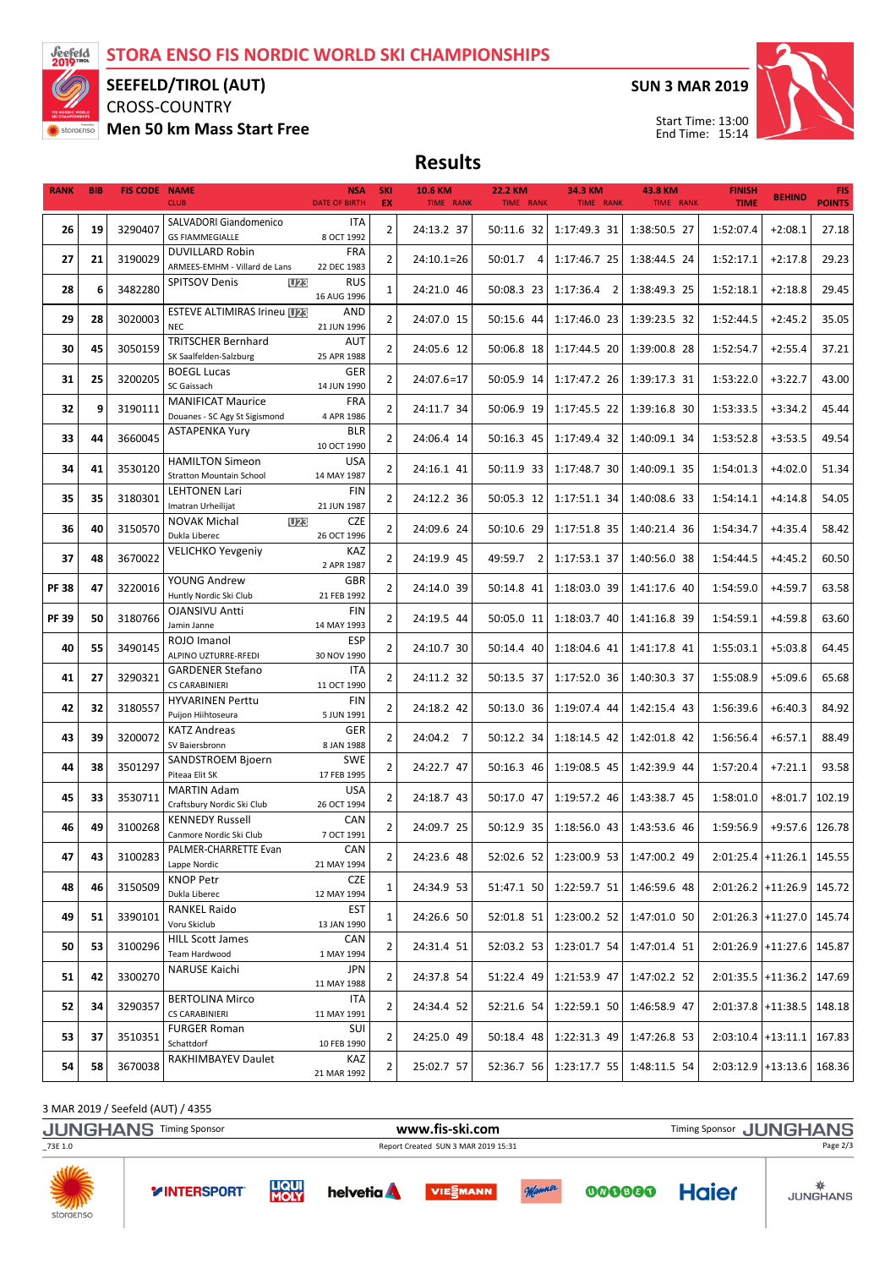

## SEEFELD/TIROL (AUT)

CROSS-COUNTRY Men 50 km Mass Start Free SUN 3 MAR 2019



Start Time: 13:00 End Time: 15:14

Results

| <b>RANK</b> | <b>BIB</b> | <b>FIS CODE NAME</b> | <b>CLUB</b>                                               | <b>NSA</b><br><b>DATE OF BIRTH</b> | <b>SKI</b><br>EX | 10.6 KM<br>TIME RANK | <b>22.2 KM</b><br>TIME RANK | 34.3 KM<br>TIME RANK | <b>43.8 KM</b><br>TIME RANK | <b>FINISH</b><br><b>TIME</b> | <b>BEHIND</b>        | <b>FIS</b><br><b>POINTS</b> |
|-------------|------------|----------------------|-----------------------------------------------------------|------------------------------------|------------------|----------------------|-----------------------------|----------------------|-----------------------------|------------------------------|----------------------|-----------------------------|
|             |            |                      | SALVADORI Giandomenico                                    | ITA                                |                  |                      |                             |                      |                             |                              |                      | 27.18                       |
| 26          | 19         | 3290407              | <b>GS FIAMMEGIALLE</b>                                    | 8 OCT 1992                         | $\overline{2}$   | 24:13.2 37           | 50:11.6 32                  | 1:17:49.3 31         | 1:38:50.5 27                | 1:52:07.4                    | $+2:08.1$            |                             |
| 27          | 21         | 3190029              | <b>DUVILLARD Robin</b><br>ARMEES-EMHM - Villard de Lans   | <b>FRA</b><br>22 DEC 1983          | 2                | $24:10.1=26$         | 50:01.7 4                   | 1:17:46.7 25         | 1:38:44.5 24                | 1:52:17.1                    | $+2:17.8$            | 29.23                       |
| 28          | 6          | 3482280              | <b>SPITSOV Denis</b><br><b>U23</b>                        | <b>RUS</b><br>16 AUG 1996          | $\mathbf{1}$     | 24:21.0 46           | 50:08.3 23                  | $1:17:36.4$ 2        | 1:38:49.3 25                | 1:52:18.1                    | $+2:18.8$            | 29.45                       |
| 29          | 28         | 3020003              | <b>ESTEVE ALTIMIRAS Irineu U28</b><br><b>NEC</b>          | AND<br>21 JUN 1996                 | $\overline{2}$   | 24:07.0 15           | 50:15.6 44                  | 1:17:46.0 23         | 1:39:23.5 32                | 1:52:44.5                    | $+2:45.2$            | 35.05                       |
| 30          | 45         | 3050159              | <b>TRITSCHER Bernhard</b><br>SK Saalfelden-Salzburg       | AUT<br>25 APR 1988                 | $\overline{2}$   | 24:05.6 12           | 50:06.8 18                  | 1:17:44.5 20         | 1:39:00.8 28                | 1:52:54.7                    | $+2:55.4$            | 37.21                       |
| 31          | 25         | 3200205              | <b>BOEGL Lucas</b><br>SC Gaissach                         | GER<br>14 JUN 1990                 | $\overline{2}$   | $24:07.6=17$         | 50:05.9 14                  | 1:17:47.2 26         | 1:39:17.3 31                | 1:53:22.0                    | $+3:22.7$            | 43.00                       |
| 32          | 9          | 3190111              | <b>MANIFICAT Maurice</b><br>Douanes - SC Agy St Sigismond | <b>FRA</b><br>4 APR 1986           | $\mathbf{2}$     | 24:11.7 34           | 50:06.9 19                  | 1:17:45.5 22         | 1:39:16.8 30                | 1:53:33.5                    | $+3:34.2$            | 45.44                       |
| 33          | 44         | 3660045              | <b>ASTAPENKA Yury</b>                                     | <b>BLR</b><br>10 OCT 1990          | $\overline{2}$   | 24:06.4 14           | 50:16.3 45                  | 1:17:49.4 32         | 1:40:09.1 34                | 1:53:52.8                    | $+3:53.5$            | 49.54                       |
| 34          | 41         | 3530120              | <b>HAMILTON Simeon</b><br><b>Stratton Mountain School</b> | <b>USA</b><br>14 MAY 1987          | $\overline{2}$   | 24:16.1 41           | 50:11.9 33                  | 1:17:48.7 30         | 1:40:09.1 35                | 1:54:01.3                    | $+4:02.0$            | 51.34                       |
| 35          | 35         | 3180301              | <b>LEHTONEN Lari</b><br>Imatran Urheilijat                | <b>FIN</b><br>21 JUN 1987          | $\overline{2}$   | 24:12.2 36           | 50:05.3 12                  | 1:17:51.1 34         | 1:40:08.6 33                | 1:54:14.1                    | $+4:14.8$            | 54.05                       |
| 36          | 40         | 3150570              | <b>NOVAK Michal</b><br><b>U23</b><br>Dukla Liberec        | <b>CZE</b><br>26 OCT 1996          | $\overline{2}$   | 24:09.6 24           | 50:10.6 29                  | 1:17:51.8 35         | 1:40:21.4 36                | 1:54:34.7                    | $+4:35.4$            | 58.42                       |
| 37          | 48         | 3670022              | <b>VELICHKO Yevgeniy</b>                                  | KAZ<br>2 APR 1987                  | $\overline{2}$   | 24:19.9 45           | 49:59.7<br>$\overline{2}$   | 1:17:53.1 37         | 1:40:56.0 38                | 1:54:44.5                    | $+4:45.2$            | 60.50                       |
| <b>PF38</b> | 47         | 3220016              | YOUNG Andrew<br>Huntly Nordic Ski Club                    | <b>GBR</b><br>21 FEB 1992          | $\overline{2}$   | 24:14.0 39           | 50:14.8 41                  | 1:18:03.0 39         | 1:41:17.6 40                | 1:54:59.0                    | $+4:59.7$            | 63.58                       |
| <b>PF39</b> | 50         | 3180766              | OJANSIVU Antti<br>Jamin Janne                             | <b>FIN</b><br>14 MAY 1993          | $\overline{2}$   | 24:19.5 44           | 50:05.0 11                  | 1:18:03.7 40         | 1:41:16.8 39                | 1:54:59.1                    | $+4:59.8$            | 63.60                       |
| 40          | 55         | 3490145              | ROJO Imanol<br>ALPINO UZTURRE-RFEDI                       | <b>ESP</b><br>30 NOV 1990          | 2                | 24:10.7 30           | 50:14.4 40                  | 1:18:04.6 41         | 1:41:17.8 41                | 1:55:03.1                    | $+5:03.8$            | 64.45                       |
| 41          | 27         | 3290321              | <b>GARDENER Stefano</b><br><b>CS CARABINIERI</b>          | <b>ITA</b><br>11 OCT 1990          | $\overline{2}$   | 24:11.2 32           | 50:13.5 37                  | 1:17:52.0 36         | 1:40:30.3 37                | 1:55:08.9                    | $+5:09.6$            | 65.68                       |
| 42          | 32         | 3180557              | <b>HYVARINEN Perttu</b><br>Puijon Hiihtoseura             | <b>FIN</b><br>5 JUN 1991           | $\overline{2}$   | 24:18.2 42           | 50:13.0 36                  | 1:19:07.4 44         | 1:42:15.4 43                | 1:56:39.6                    | $+6:40.3$            | 84.92                       |
| 43          | 39         | 3200072              | <b>KATZ Andreas</b><br>SV Baiersbronn                     | GER<br>8 JAN 1988                  | $\overline{2}$   | 24:04.2 7            | 50:12.2 34                  | 1:18:14.5 42         | 1:42:01.8 42                | 1:56:56.4                    | $+6:57.1$            | 88.49                       |
| 44          | 38         | 3501297              | SANDSTROEM Bjoern<br>Piteaa Elit SK                       | <b>SWE</b><br>17 FEB 1995          | $\overline{2}$   | 24:22.7 47           | 50:16.3 46                  | 1:19:08.5 45         | 1:42:39.9 44                | 1:57:20.4                    | $+7:21.1$            | 93.58                       |
| 45          | 33         | 3530711              | <b>MARTIN Adam</b><br>Craftsbury Nordic Ski Club          | <b>USA</b><br>26 OCT 1994          | $\overline{2}$   | 24:18.7 43           | 50:17.0 47                  | 1:19:57.2 46         | 1:43:38.7 45                | 1:58:01.0                    | $+8:01.7$            | 102.19                      |
| 46          | 49         | 3100268              | <b>KENNEDY Russell</b><br>Canmore Nordic Ski Club         | CAN<br>7 OCT 1991                  | $\overline{2}$   | 24:09.7 25           | 50:12.9 35                  | 1:18:56.0 43         | 1:43:53.6 46                | 1:59:56.9                    | $+9:57.6$            | 126.78                      |
| 47          | 43         | 3100283              | PALMER-CHARRETTE Evan<br>Lappe Nordic                     | CAN<br>21 MAY 1994                 | $\overline{2}$   | 24:23.6 48           | 52:02.6 52                  | 1:23:00.9 53         | 1:47:00.2 49                | 2:01:25.4 +11:26.1 145.55    |                      |                             |
| 48          | 46         | 3150509              | <b>KNOP Petr</b><br>Dukla Liberec                         | <b>CZE</b><br>12 MAY 1994          | 1                | 24:34.9 53           | 51:47.1 50                  | 1:22:59.7 51         | 1:46:59.6 48                |                              | $2:01:26.2$ +11:26.9 | 145.72                      |
| 49          | 51         | 3390101              | <b>RANKEL Raido</b><br>Voru Skiclub                       | EST<br>13 JAN 1990                 | 1                | 24:26.6 50           | 52:01.8 51                  | 1:23:00.2 52         | 1:47:01.0 50                |                              | $2:01:26.3$ +11:27.0 | 145.74                      |
| 50          | 53         | 3100296              | <b>HILL Scott James</b><br>Team Hardwood                  | CAN<br>1 MAY 1994                  | 2                | 24:31.4 51           | 52:03.2 53                  | 1:23:01.7 54         | 1:47:01.4 51                | 2:01:26.9 +11:27.6           |                      | 145.87                      |
| 51          | 42         | 3300270              | NARUSE Kaichi                                             | JPN<br>11 MAY 1988                 | 2                | 24:37.8 54           | 51:22.4 49                  | 1:21:53.9 47         | 1:47:02.2 52                | $2:01:35.5$ +11:36.2         |                      | 147.69                      |
| 52          | 34         | 3290357              | <b>BERTOLINA Mirco</b><br><b>CS CARABINIERI</b>           | <b>ITA</b><br>11 MAY 1991          | 2                | 24:34.4 52           | 52:21.6 54                  | 1:22:59.1 50         | 1:46:58.9 47                |                              | $2:01:37.8$ +11:38.5 | 148.18                      |
| 53          | 37         | 3510351              | <b>FURGER Roman</b><br>Schattdorf                         | SUI<br>10 FEB 1990                 | 2                | 24:25.0 49           | 50:18.4 48                  | 1:22:31.3 49         | 1:47:26.8 53                |                              | $2:03:10.4$ +13:11.1 | 167.83                      |
| 54          | 58         | 3670038              | RAKHIMBAYEV Daulet                                        | KAZ<br>21 MAR 1992                 | 2                | 25:02.7 57           | 52:36.7 56                  | 1:23:17.7 55         | 1:48:11.5 54                |                              | $2:03:12.9$ +13:13.6 | 168.36                      |

3 MAR 2019 / Seefeld (AUT) / 4355

**YINTERSPORT** 

JUNGHANS Timing Sponsor **WWW.fis-ski.com** WWW.fis-Ski.com Timing Sponsor JUNGHANS \_73E 1.0 Report Created SUN 3 MAR 2019 15:31 Page 2/3**LIQUI**<br>**MOLY**